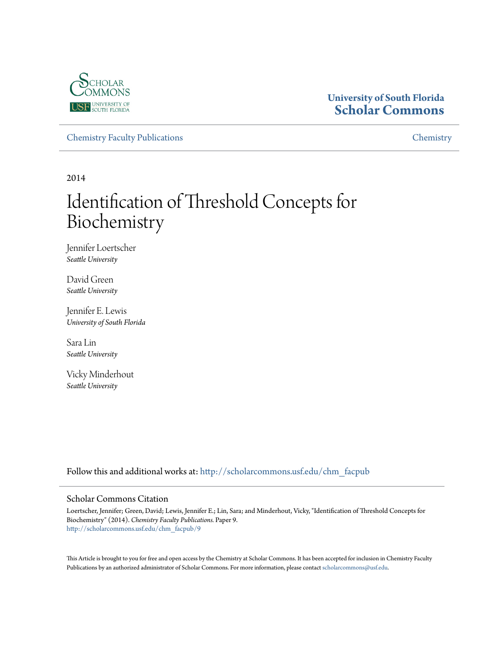

### **University of South Florida [Scholar Commons](http://scholarcommons.usf.edu?utm_source=scholarcommons.usf.edu%2Fchm_facpub%2F9&utm_medium=PDF&utm_campaign=PDFCoverPages)**

[Chemistry Faculty Publications](http://scholarcommons.usf.edu/chm_facpub?utm_source=scholarcommons.usf.edu%2Fchm_facpub%2F9&utm_medium=PDF&utm_campaign=PDFCoverPages) [Chemistry](http://scholarcommons.usf.edu/chm?utm_source=scholarcommons.usf.edu%2Fchm_facpub%2F9&utm_medium=PDF&utm_campaign=PDFCoverPages)

2014

# Identification of Threshold Concepts for Biochemistry

Jennifer Loertscher *Seattle University*

David Green *Seattle University*

Jennifer E. Lewis *University of South Florida*

Sara Lin *Seattle University*

Vicky Minderhout *Seattle University*

Follow this and additional works at: [http://scholarcommons.usf.edu/chm\\_facpub](http://scholarcommons.usf.edu/chm_facpub?utm_source=scholarcommons.usf.edu%2Fchm_facpub%2F9&utm_medium=PDF&utm_campaign=PDFCoverPages)

#### Scholar Commons Citation

Loertscher, Jennifer; Green, David; Lewis, Jennifer E.; Lin, Sara; and Minderhout, Vicky, "Identification of Threshold Concepts for Biochemistry" (2014). *Chemistry Faculty Publications.* Paper 9. [http://scholarcommons.usf.edu/chm\\_facpub/9](http://scholarcommons.usf.edu/chm_facpub/9?utm_source=scholarcommons.usf.edu%2Fchm_facpub%2F9&utm_medium=PDF&utm_campaign=PDFCoverPages)

This Article is brought to you for free and open access by the Chemistry at Scholar Commons. It has been accepted for inclusion in Chemistry Faculty Publications by an authorized administrator of Scholar Commons. For more information, please contact [scholarcommons@usf.edu](mailto:scholarcommons@usf.edu).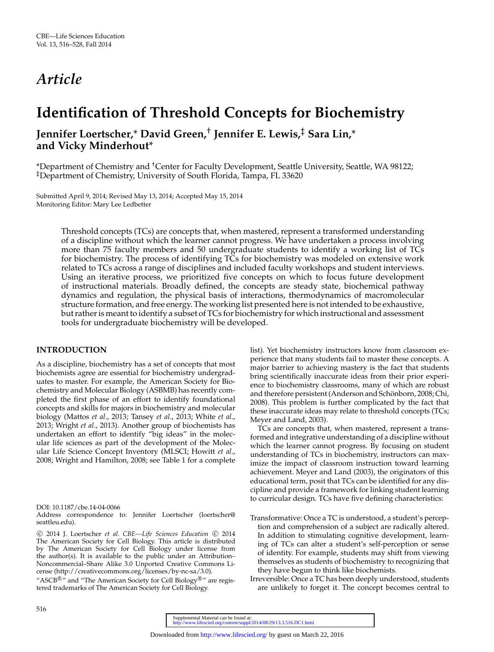## *Article*

### **Identification of Threshold Concepts for Biochemistry**

**Jennifer Loertscher,**\* **David Green,**† **Jennifer E. Lewis,**‡ **Sara Lin,**\* **and Vicky Minderhout**\*

\*Department of Chemistry and †Center for Faculty Development, Seattle University, Seattle, WA 98122; ‡Department of Chemistry, University of South Florida, Tampa, FL 33620

Submitted April 9, 2014; Revised May 13, 2014; Accepted May 15, 2014 Monitoring Editor: Mary Lee Ledbetter

> Threshold concepts (TCs) are concepts that, when mastered, represent a transformed understanding of a discipline without which the learner cannot progress. We have undertaken a process involving more than 75 faculty members and 50 undergraduate students to identify a working list of TCs for biochemistry. The process of identifying TCs for biochemistry was modeled on extensive work related to TCs across a range of disciplines and included faculty workshops and student interviews. Using an iterative process, we prioritized five concepts on which to focus future development of instructional materials. Broadly defined, the concepts are steady state, biochemical pathway dynamics and regulation, the physical basis of interactions, thermodynamics of macromolecular structure formation, and free energy. The working list presented here is not intended to be exhaustive, but rather is meant to identify a subset of TCs for biochemistry for which instructional and assessment tools for undergraduate biochemistry will be developed.

#### **INTRODUCTION**

As a discipline, biochemistry has a set of concepts that most biochemists agree are essential for biochemistry undergraduates to master. For example, the American Society for Biochemistry and Molecular Biology (ASBMB) has recently completed the first phase of an effort to identify foundational concepts and skills for majors in biochemistry and molecular biology (Mattos *et al*., 2013; Tansey *et al*., 2013; White *et al*., 2013; Wright *et al*., 2013). Another group of biochemists has undertaken an effort to identify "big ideas" in the molecular life sciences as part of the development of the Molecular Life Science Concept Inventory (MLSCI; Howitt *et al*., 2008; Wright and Hamilton, 2008; see Table 1 for a complete

DOI: 10.1187/cbe.14-04-0066

Address correspondence to: Jennifer Loertscher (loertscher@ seattleu.edu).

© 2014 J. Loertscher et al. CBE-Life Sciences Education © 2014 The American Society for Cell Biology. This article is distributed by The American Society for Cell Biology under license from the author(s). It is available to the public under an Attribution– Noncommercial–Share Alike 3.0 Unported Creative Commons License [\(http://creativecommons.org/licenses/by-nc-sa/3.0\)](http://creativecommons.org/licenses/by-nc-sa/3.0).

"ASCB<sup>®</sup>" and "The American Society for Cell Biology<sup>®</sup>" are registered trademarks of The American Society for Cell Biology.

list). Yet biochemistry instructors know from classroom experience that many students fail to master these concepts. A major barrier to achieving mastery is the fact that students bring scientifically inaccurate ideas from their prior experience to biochemistry classrooms, many of which are robust and therefore persistent (Anderson and Schönborn, 2008; Chi, 2008). This problem is further complicated by the fact that these inaccurate ideas may relate to threshold concepts (TCs; Meyer and Land, 2003).

TCs are concepts that, when mastered, represent a transformed and integrative understanding of a discipline without which the learner cannot progress. By focusing on student understanding of TCs in biochemistry, instructors can maximize the impact of classroom instruction toward learning achievement. Meyer and Land (2003), the originators of this educational term, posit that TCs can be identified for any discipline and provide a framework for linking student learning to curricular design. TCs have five defining characteristics:

Transformative: Once a TC is understood, a student's perception and comprehension of a subject are radically altered. In addition to stimulating cognitive development, learning of TCs can alter a student's self-perception or sense of identity. For example, students may shift from viewing themselves as students of biochemistry to recognizing that they have begun to think like biochemists.

Irreversible: Once a TC has been deeply understood, students are unlikely to forget it. The concept becomes central to

Supplemental Material can be found at:<br><http://www.lifescied.org/content/suppl/2014/08/29/13.3.516.DC1.html>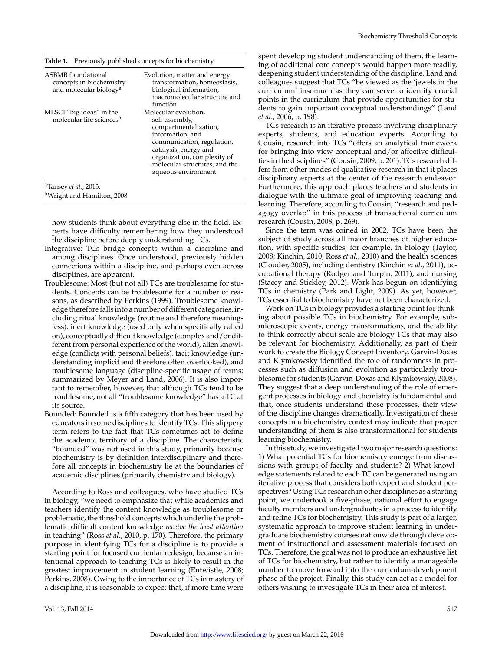| Table 1.                                                                             | Previously published concepts for biochemistry                                                                                                                                                                                    |
|--------------------------------------------------------------------------------------|-----------------------------------------------------------------------------------------------------------------------------------------------------------------------------------------------------------------------------------|
| ASBMB foundational<br>concepts in biochemistry<br>and molecular biology <sup>a</sup> | Evolution, matter and energy<br>transformation, homeostasis,<br>biological information,<br>macromolecular structure and<br>function                                                                                               |
| MLSCI "big ideas" in the<br>molecular life sciences <sup>b</sup>                     | Molecular evolution,<br>self-assembly,<br>compartmentalization,<br>information, and<br>communication, regulation,<br>catalysis, energy and<br>organization, complexity of<br>molecular structures, and the<br>aqueous environment |
| <sup>a</sup> Tansey <i>et al.</i> , 2013.                                            |                                                                                                                                                                                                                                   |

bWright and Hamilton, 2008.

how students think about everything else in the field. Experts have difficulty remembering how they understood the discipline before deeply understanding TCs.

- Integrative: TCs bridge concepts within a discipline and among disciplines. Once understood, previously hidden connections within a discipline, and perhaps even across disciplines, are apparent.
- Troublesome: Most (but not all) TCs are troublesome for students. Concepts can be troublesome for a number of reasons, as described by Perkins (1999). Troublesome knowledge therefore falls into a number of different categories, including ritual knowledge (routine and therefore meaningless), inert knowledge (used only when specifically called on), conceptually difficult knowledge (complex and/or different from personal experience of the world), alien knowledge (conflicts with personal beliefs), tacit knowledge (understanding implicit and therefore often overlooked), and troublesome language (discipline-specific usage of terms; summarized by Meyer and Land, 2006). It is also important to remember, however, that although TCs tend to be troublesome, not all "troublesome knowledge" has a TC at its source.
- Bounded: Bounded is a fifth category that has been used by educators in some disciplines to identify TCs. This slippery term refers to the fact that TCs sometimes act to define the academic territory of a discipline. The characteristic "bounded" was not used in this study, primarily because biochemistry is by definition interdisciplinary and therefore all concepts in biochemistry lie at the boundaries of academic disciplines (primarily chemistry and biology).

According to Ross and colleagues, who have studied TCs in biology, "we need to emphasize that while academics and teachers identify the content knowledge as troublesome or problematic, the threshold concepts which underlie the problematic difficult content knowledge *receive the least attention* in teaching" (Ross *et al*., 2010, p. 170). Therefore, the primary purpose in identifying TCs for a discipline is to provide a starting point for focused curricular redesign, because an intentional approach to teaching TCs is likely to result in the greatest improvement in student learning (Entwistle, 2008; Perkins, 2008). Owing to the importance of TCs in mastery of a discipline, it is reasonable to expect that, if more time were

spent developing student understanding of them, the learning of additional core concepts would happen more readily, deepening student understanding of the discipline. Land and colleagues suggest that TCs "be viewed as the 'jewels in the curriculum' insomuch as they can serve to identify crucial points in the curriculum that provide opportunities for students to gain important conceptual understandings" (Land *et al*., 2006, p. 198).

TCs research is an iterative process involving disciplinary experts, students, and education experts. According to Cousin, research into TCs "offers an analytical framework for bringing into view conceptual and/or affective difficulties in the disciplines" (Cousin, 2009, p. 201). TCs research differs from other modes of qualitative research in that it places disciplinary experts at the center of the research endeavor. Furthermore, this approach places teachers and students in dialogue with the ultimate goal of improving teaching and learning. Therefore, according to Cousin, "research and pedagogy overlap" in this process of transactional curriculum research (Cousin, 2008, p. 269).

Since the term was coined in 2002, TCs have been the subject of study across all major branches of higher education, with specific studies, for example, in biology (Taylor, 2008; Kinchin, 2010; Ross *et al.*, 2010) and the health sciences (Clouder, 2005), including dentistry (Kinchin *et al*., 2011), occupational therapy (Rodger and Turpin, 2011), and nursing (Stacey and Stickley, 2012). Work has begun on identifying TCs in chemistry (Park and Light, 2009). As yet, however, TCs essential to biochemistry have not been characterized.

Work on TCs in biology provides a starting point for thinking about possible TCs in biochemistry. For example, submicroscopic events, energy transformations, and the ability to think correctly about scale are biology TCs that may also be relevant for biochemistry. Additionally, as part of their work to create the Biology Concept Inventory, Garvin-Doxas and Klymkowsky identified the role of randomness in processes such as diffusion and evolution as particularly troublesome for students (Garvin-Doxas and Klymkowsky, 2008). They suggest that a deep understanding of the role of emergent processes in biology and chemistry is fundamental and that, once students understand these processes, their view of the discipline changes dramatically. Investigation of these concepts in a biochemistry context may indicate that proper understanding of them is also transformational for students learning biochemistry.

In this study, we investigated two major research questions: 1) What potential TCs for biochemistry emerge from discussions with groups of faculty and students? 2) What knowledge statements related to each TC can be generated using an iterative process that considers both expert and student perspectives? Using TCs research in other disciplines as a starting point, we undertook a five-phase, national effort to engage faculty members and undergraduates in a process to identify and refine TCs for biochemistry. This study is part of a larger, systematic approach to improve student learning in undergraduate biochemistry courses nationwide through development of instructional and assessment materials focused on TCs. Therefore, the goal was not to produce an exhaustive list of TCs for biochemistry, but rather to identify a manageable number to move forward into the curriculum-development phase of the project. Finally, this study can act as a model for others wishing to investigate TCs in their area of interest.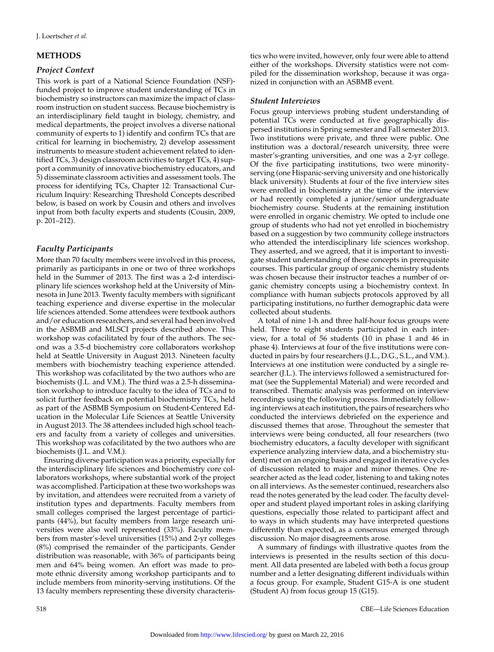#### **METHODS**

#### *Project Context*

This work is part of a National Science Foundation (NSF) funded project to improve student understanding of TCs in biochemistry so instructors can maximize the impact of classroom instruction on student success. Because biochemistry is an interdisciplinary field taught in biology, chemistry, and medical departments, the project involves a diverse national community of experts to 1) identify and confirm TCs that are critical for learning in biochemistry, 2) develop assessment instruments to measure student achievement related to identified TCs, 3) design classroom activities to target TCs, 4) support a community of innovative biochemistry educators, and 5) disseminate classroom activities and assessment tools. The process for identifying TCs, Chapter 12: Transactional Curriculum Inquiry: Researching Threshold Concepts described below, is based on work by Cousin and others and involves input from both faculty experts and students (Cousin, 2009, p. 201–212).

#### *Faculty Participants*

More than 70 faculty members were involved in this process, primarily as participants in one or two of three workshops held in the Summer of 2013. The first was a 2-d interdisciplinary life sciences workshop held at the University of Minnesota in June 2013. Twenty faculty members with significant teaching experience and diverse expertise in the molecular life sciences attended. Some attendees were textbook authors and/or education researchers, and several had been involved in the ASBMB and MLSCI projects described above. This workshop was cofacilitated by four of the authors. The second was a 3.5-d biochemistry core collaborators workshop held at Seattle University in August 2013. Nineteen faculty members with biochemistry teaching experience attended. This workshop was cofacilitated by the two authors who are biochemists (J.L. and V.M.). The third was a 2.5-h dissemination workshop to introduce faculty to the idea of TCs and to solicit further feedback on potential biochemistry TCs, held as part of the ASBMB Symposium on Student-Centered Education in the Molecular Life Sciences at Seattle University in August 2013. The 38 attendees included high school teachers and faculty from a variety of colleges and universities. This workshop was cofacilitated by the two authors who are biochemists (J.L. and V.M.).

Ensuring diverse participation was a priority, especially for the interdisciplinary life sciences and biochemistry core collaborators workshops, where substantial work of the project was accomplished. Participation at these two workshops was by invitation, and attendees were recruited from a variety of institution types and departments. Faculty members from small colleges comprised the largest percentage of participants (44%), but faculty members from large research universities were also well represented (33%). Faculty members from master's-level universities (15%) and 2-yr colleges (8%) comprised the remainder of the participants. Gender distribution was reasonable, with 36% of participants being men and 64% being women. An effort was made to promote ethnic diversity among workshop participants and to include members from minority-serving institutions. Of the 13 faculty members representing these diversity characteristics who were invited, however, only four were able to attend either of the workshops. Diversity statistics were not compiled for the dissemination workshop, because it was organized in conjunction with an ASBMB event.

#### *Student Interviews*

Focus group interviews probing student understanding of potential TCs were conducted at five geographically dispersed institutions in Spring semester and Fall semester 2013. Two institutions were private, and three were public. One institution was a doctoral/research university, three were master's-granting universities, and one was a 2-yr college. Of the five participating institutions, two were minorityserving (one Hispanic-serving university and one historically black university). Students at four of the five interview sites were enrolled in biochemistry at the time of the interview or had recently completed a junior/senior undergraduate biochemistry course. Students at the remaining institution were enrolled in organic chemistry. We opted to include one group of students who had not yet enrolled in biochemistry based on a suggestion by two community college instructors who attended the interdisciplinary life sciences workshop. They asserted, and we agreed, that it is important to investigate student understanding of these concepts in prerequisite courses. This particular group of organic chemistry students was chosen because their instructor teaches a number of organic chemistry concepts using a biochemistry context. In compliance with human subjects protocols approved by all participating institutions, no further demographic data were collected about students.

A total of nine 1-h and three half-hour focus groups were held. Three to eight students participated in each interview, for a total of 56 students (10 in phase 1 and 46 in phase 4). Interviews at four of the five institutions were conducted in pairs by four researchers (J.L., D.G., S.L., and V.M.). Interviews at one institution were conducted by a single researcher (J.L.). The interviews followed a semistructured format (see the Supplemental Material) and were recorded and transcribed. Thematic analysis was performed on interview recordings using the following process. Immediately following interviews at each institution, the pairs of researchers who conducted the interviews debriefed on the experience and discussed themes that arose. Throughout the semester that interviews were being conducted, all four researchers (two biochemistry educators, a faculty developer with significant experience analyzing interview data, and a biochemistry student) met on an ongoing basis and engaged in iterative cycles of discussion related to major and minor themes. One researcher acted as the lead coder, listening to and taking notes on all interviews. As the semester continued, researchers also read the notes generated by the lead coder. The faculty developer and student played important roles in asking clarifying questions, especially those related to participant affect and to ways in which students may have interpreted questions differently than expected, as a consensus emerged through discussion. No major disagreements arose.

A summary of findings with illustrative quotes from the interviews is presented in the results section of this document. All data presented are labeled with both a focus group number and a letter designating different individuals within a focus group. For example, Student G15-A is one student (Student A) from focus group 15 (G15).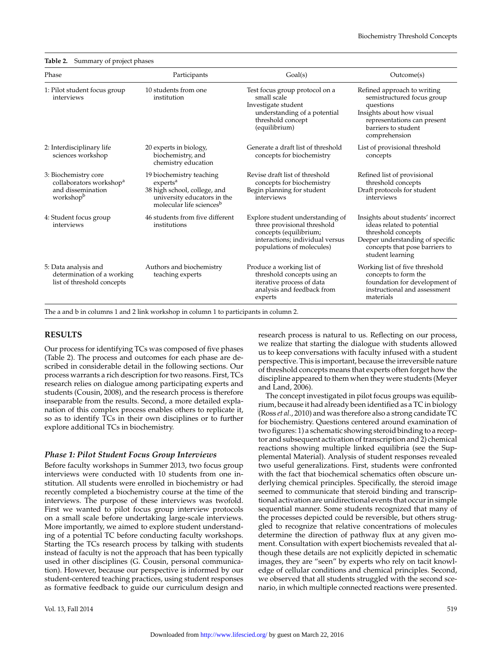| Phase                                                                                         | Participants                                                                                                                                            | Goal(s)                                                                                                                                                   | Outcome(s)                                                                                                                                                                       |
|-----------------------------------------------------------------------------------------------|---------------------------------------------------------------------------------------------------------------------------------------------------------|-----------------------------------------------------------------------------------------------------------------------------------------------------------|----------------------------------------------------------------------------------------------------------------------------------------------------------------------------------|
| 1: Pilot student focus group<br>interviews                                                    | 10 students from one<br>institution                                                                                                                     | Test focus group protocol on a<br>small scale<br>Investigate student<br>understanding of a potential<br>threshold concept<br>(equilibrium)                | Refined approach to writing<br>semistructured focus group<br>questions<br>Insights about how visual<br>representations can present<br>barriers to student<br>comprehension       |
| 2: Interdisciplinary life<br>sciences workshop                                                | 20 experts in biology,<br>biochemistry, and<br>chemistry education                                                                                      | Generate a draft list of threshold<br>concepts for biochemistry                                                                                           | List of provisional threshold<br>concepts                                                                                                                                        |
| 3: Biochemistry core<br>collaborators workshop <sup>a</sup><br>and dissemination<br>workshopb | 19 biochemistry teaching<br>experts <sup>a</sup><br>38 high school, college, and<br>university educators in the<br>molecular life sciences <sup>b</sup> | Revise draft list of threshold<br>concepts for biochemistry<br>Begin planning for student<br>interviews                                                   | Refined list of provisional<br>threshold concepts<br>Draft protocols for student<br>interviews                                                                                   |
| 4: Student focus group<br>interviews                                                          | 46 students from five different<br>institutions                                                                                                         | Explore student understanding of<br>three provisional threshold<br>concepts (equilibrium;<br>interactions; individual versus<br>populations of molecules) | Insights about students' incorrect<br>ideas related to potential<br>threshold concepts<br>Deeper understanding of specific<br>concepts that pose barriers to<br>student learning |
| 5: Data analysis and<br>determination of a working<br>list of threshold concepts              | Authors and biochemistry<br>teaching experts                                                                                                            | Produce a working list of<br>threshold concepts using an<br>iterative process of data<br>analysis and feedback from<br>experts                            | Working list of five threshold<br>concepts to form the<br>foundation for development of<br>instructional and assessment<br>materials                                             |

#### **Table 2.** Summary of project phases

The a and b in columns 1 and 2 link workshop in column 1 to participants in column 2.

#### **RESULTS**

Our process for identifying TCs was composed of five phases (Table 2). The process and outcomes for each phase are described in considerable detail in the following sections. Our process warrants a rich description for two reasons. First, TCs research relies on dialogue among participating experts and students (Cousin, 2008), and the research process is therefore inseparable from the results. Second, a more detailed explanation of this complex process enables others to replicate it, so as to identify TCs in their own disciplines or to further explore additional TCs in biochemistry.

#### *Phase 1: Pilot Student Focus Group Interviews*

Before faculty workshops in Summer 2013, two focus group interviews were conducted with 10 students from one institution. All students were enrolled in biochemistry or had recently completed a biochemistry course at the time of the interviews. The purpose of these interviews was twofold. First we wanted to pilot focus group interview protocols on a small scale before undertaking large-scale interviews. More importantly, we aimed to explore student understanding of a potential TC before conducting faculty workshops. Starting the TCs research process by talking with students instead of faculty is not the approach that has been typically used in other disciplines (G. Cousin, personal communication). However, because our perspective is informed by our student-centered teaching practices, using student responses as formative feedback to guide our curriculum design and research process is natural to us. Reflecting on our process, we realize that starting the dialogue with students allowed us to keep conversations with faculty infused with a student perspective. This is important, because the irreversible nature of threshold concepts means that experts often forget how the discipline appeared to them when they were students (Meyer and Land, 2006).

The concept investigated in pilot focus groups was equilibrium, because it had already been identified as a TC in biology (Ross *et al*., 2010) and was therefore also a strong candidate TC for biochemistry. Questions centered around examination of two figures: 1) a schematic showing steroid binding to a receptor and subsequent activation of transcription and 2) chemical reactions showing multiple linked equilibria (see the Supplemental Material). Analysis of student responses revealed two useful generalizations. First, students were confronted with the fact that biochemical schematics often obscure underlying chemical principles. Specifically, the steroid image seemed to communicate that steroid binding and transcriptional activation are unidirectional events that occur in simple sequential manner. Some students recognized that many of the processes depicted could be reversible, but others struggled to recognize that relative concentrations of molecules determine the direction of pathway flux at any given moment. Consultation with expert biochemists revealed that although these details are not explicitly depicted in schematic images, they are "seen" by experts who rely on tacit knowledge of cellular conditions and chemical principles. Second, we observed that all students struggled with the second scenario, in which multiple connected reactions were presented.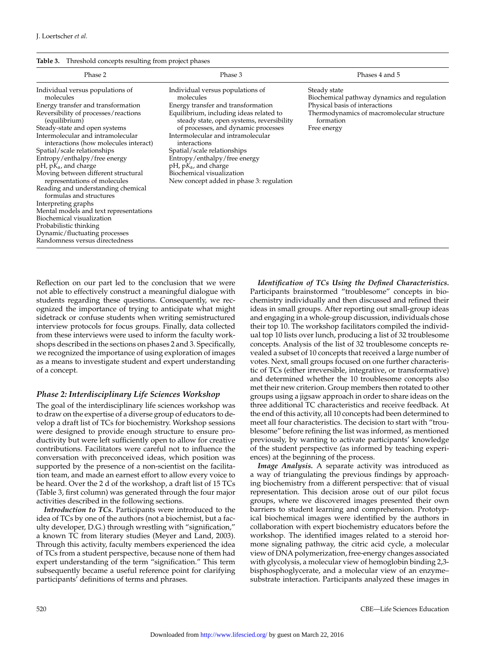| Phase 2                                                                                                                                                                                                                                                                                                                                                                                                                                                                                                                                                                                                                                                                                     | Phase 3                                                                                                                                                                                                                                                                                                                                                                                                                                       | Phases 4 and 5                                                                                                                                                          |
|---------------------------------------------------------------------------------------------------------------------------------------------------------------------------------------------------------------------------------------------------------------------------------------------------------------------------------------------------------------------------------------------------------------------------------------------------------------------------------------------------------------------------------------------------------------------------------------------------------------------------------------------------------------------------------------------|-----------------------------------------------------------------------------------------------------------------------------------------------------------------------------------------------------------------------------------------------------------------------------------------------------------------------------------------------------------------------------------------------------------------------------------------------|-------------------------------------------------------------------------------------------------------------------------------------------------------------------------|
| Individual versus populations of<br>molecules<br>Energy transfer and transformation<br>Reversibility of processes/reactions<br>(equilibrium)<br>Steady-state and open systems<br>Intermolecular and intramolecular<br>interactions (how molecules interact)<br>Spatial/scale relationships<br>Entropy/enthalpy/free energy<br>$pH$ , $pK_a$ , and charge<br>Moving between different structural<br>representations of molecules<br>Reading and understanding chemical<br>formulas and structures<br>Interpreting graphs<br>Mental models and text representations<br>Biochemical visualization<br>Probabilistic thinking<br>Dynamic/fluctuating processes<br>Randomness versus directedness | Individual versus populations of<br>molecules<br>Energy transfer and transformation<br>Equilibrium, including ideas related to<br>steady state, open systems, reversibility<br>of processes, and dynamic processes<br>Intermolecular and intramolecular<br>interactions<br>Spatial/scale relationships<br>Entropy/enthalpy/free energy<br>$pH$ , $pK_a$ , and charge<br>Biochemical visualization<br>New concept added in phase 3: regulation | Steady state<br>Biochemical pathway dynamics and regulation<br>Physical basis of interactions<br>Thermodynamics of macromolecular structure<br>formation<br>Free energy |

Reflection on our part led to the conclusion that we were not able to effectively construct a meaningful dialogue with students regarding these questions. Consequently, we recognized the importance of trying to anticipate what might sidetrack or confuse students when writing semistructured interview protocols for focus groups. Finally, data collected from these interviews were used to inform the faculty workshops described in the sections on phases 2 and 3. Specifically, we recognized the importance of using exploration of images as a means to investigate student and expert understanding of a concept.

#### *Phase 2: Interdisciplinary Life Sciences Workshop*

The goal of the interdisciplinary life sciences workshop was to draw on the expertise of a diverse group of educators to develop a draft list of TCs for biochemistry. Workshop sessions were designed to provide enough structure to ensure productivity but were left sufficiently open to allow for creative contributions. Facilitators were careful not to influence the conversation with preconceived ideas, which position was supported by the presence of a non-scientist on the facilitation team, and made an earnest effort to allow every voice to be heard. Over the 2 d of the workshop, a draft list of 15 TCs (Table 3, first column) was generated through the four major activities described in the following sections.

*Introduction to TCs.* Participants were introduced to the idea of TCs by one of the authors (not a biochemist, but a faculty developer, D.G.) through wrestling with "signification," a known TC from literary studies (Meyer and Land, 2003). Through this activity, faculty members experienced the idea of TCs from a student perspective, because none of them had expert understanding of the term "signification." This term subsequently became a useful reference point for clarifying participants' definitions of terms and phrases.

*Identification of TCs Using the Defined Characteristics.* Participants brainstormed "troublesome" concepts in biochemistry individually and then discussed and refined their ideas in small groups. After reporting out small-group ideas and engaging in a whole-group discussion, individuals chose their top 10. The workshop facilitators compiled the individual top 10 lists over lunch, producing a list of 32 troublesome concepts. Analysis of the list of 32 troublesome concepts revealed a subset of 10 concepts that received a large number of votes. Next, small groups focused on one further characteristic of TCs (either irreversible, integrative, or transformative) and determined whether the 10 troublesome concepts also met their new criterion. Group members then rotated to other groups using a jigsaw approach in order to share ideas on the three additional TC characteristics and receive feedback. At the end of this activity, all 10 concepts had been determined to meet all four characteristics. The decision to start with "troublesome" before refining the list was informed, as mentioned previously, by wanting to activate participants' knowledge of the student perspective (as informed by teaching experiences) at the beginning of the process.

*Image Analysis.* A separate activity was introduced as a way of triangulating the previous findings by approaching biochemistry from a different perspective: that of visual representation. This decision arose out of our pilot focus groups, where we discovered images presented their own barriers to student learning and comprehension. Prototypical biochemical images were identified by the authors in collaboration with expert biochemistry educators before the workshop. The identified images related to a steroid hormone signaling pathway, the citric acid cycle, a molecular view of DNA polymerization, free-energy changes associated with glycolysis, a molecular view of hemoglobin binding 2,3 bisphosphoglycerate, and a molecular view of an enzyme– substrate interaction. Participants analyzed these images in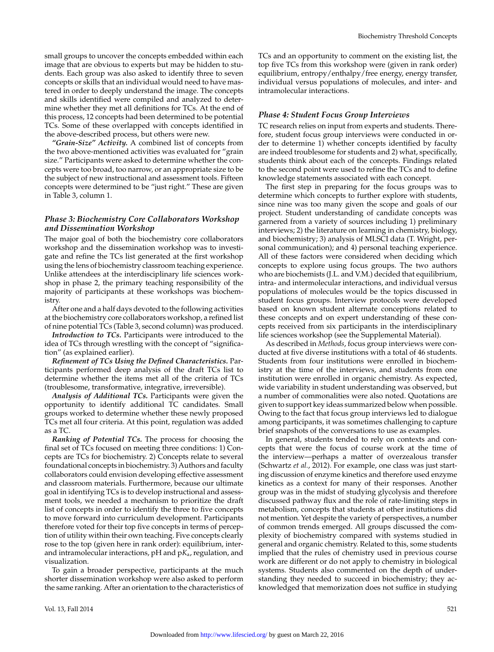small groups to uncover the concepts embedded within each image that are obvious to experts but may be hidden to students. Each group was also asked to identify three to seven concepts or skills that an individual would need to have mastered in order to deeply understand the image. The concepts and skills identified were compiled and analyzed to determine whether they met all definitions for TCs. At the end of this process, 12 concepts had been determined to be potential TCs. Some of these overlapped with concepts identified in the above-described process, but others were new.

*"Grain-Size" Activity.* A combined list of concepts from the two above-mentioned activities was evaluated for "grain size." Participants were asked to determine whether the concepts were too broad, too narrow, or an appropriate size to be the subject of new instructional and assessment tools. Fifteen concepts were determined to be "just right." These are given in Table 3, column 1.

#### *Phase 3: Biochemistry Core Collaborators Workshop and Dissemination Workshop*

The major goal of both the biochemistry core collaborators workshop and the dissemination workshop was to investigate and refine the TCs list generated at the first workshop using the lens of biochemistry classroom teaching experience. Unlike attendees at the interdisciplinary life sciences workshop in phase 2, the primary teaching responsibility of the majority of participants at these workshops was biochemistry.

After one and a half days devoted to the following activities at the biochemistry core collaborators workshop, a refined list of nine potential TCs (Table 3, second column) was produced.

*Introduction to TCs.* Participants were introduced to the idea of TCs through wrestling with the concept of "signification" (as explained earlier).

*Refinement of TCs Using the Defined Characteristics.* Participants performed deep analysis of the draft TCs list to determine whether the items met all of the criteria of TCs (troublesome, transformative, integrative, irreversible).

*Analysis of Additional TCs.* Participants were given the opportunity to identify additional TC candidates. Small groups worked to determine whether these newly proposed TCs met all four criteria. At this point, regulation was added as a TC.

*Ranking of Potential TCs.* The process for choosing the final set of TCs focused on meeting three conditions: 1) Concepts are TCs for biochemistry. 2) Concepts relate to several foundational concepts in biochemistry. 3) Authors and faculty collaborators could envision developing effective assessment and classroom materials. Furthermore, because our ultimate goal in identifying TCs is to develop instructional and assessment tools, we needed a mechanism to prioritize the draft list of concepts in order to identify the three to five concepts to move forward into curriculum development. Participants therefore voted for their top five concepts in terms of perception of utility within their own teaching. Five concepts clearly rose to the top (given here in rank order): equilibrium, interand intramolecular interactions, pH and p*K*a, regulation, and visualization.

To gain a broader perspective, participants at the much shorter dissemination workshop were also asked to perform the same ranking. After an orientation to the characteristics of TCs and an opportunity to comment on the existing list, the top five TCs from this workshop were (given in rank order) equilibrium, entropy/enthalpy/free energy, energy transfer, individual versus populations of molecules, and inter- and intramolecular interactions.

#### *Phase 4: Student Focus Group Interviews*

TC research relies on input from experts and students. Therefore, student focus group interviews were conducted in order to determine 1) whether concepts identified by faculty are indeed troublesome for students and 2) what, specifically, students think about each of the concepts. Findings related to the second point were used to refine the TCs and to define knowledge statements associated with each concept.

The first step in preparing for the focus groups was to determine which concepts to further explore with students, since nine was too many given the scope and goals of our project. Student understanding of candidate concepts was garnered from a variety of sources including 1) preliminary interviews; 2) the literature on learning in chemistry, biology, and biochemistry; 3) analysis of MLSCI data (T. Wright, personal communication); and 4) personal teaching experience. All of these factors were considered when deciding which concepts to explore using focus groups. The two authors who are biochemists (J.L. and V.M.) decided that equilibrium, intra- and intermolecular interactions, and individual versus populations of molecules would be the topics discussed in student focus groups. Interview protocols were developed based on known student alternate conceptions related to these concepts and on expert understanding of these concepts received from six participants in the interdisciplinary life sciences workshop (see the Supplemental Material).

As described in *Methods*, focus group interviews were conducted at five diverse institutions with a total of 46 students. Students from four institutions were enrolled in biochemistry at the time of the interviews, and students from one institution were enrolled in organic chemistry. As expected, wide variability in student understanding was observed, but a number of commonalities were also noted. Quotations are given to support key ideas summarized below when possible. Owing to the fact that focus group interviews led to dialogue among participants, it was sometimes challenging to capture brief snapshots of the conversations to use as examples.

In general, students tended to rely on contexts and concepts that were the focus of course work at the time of the interview—perhaps a matter of overzealous transfer (Schwartz *et al.*, 2012). For example, one class was just starting discussion of enzyme kinetics and therefore used enzyme kinetics as a context for many of their responses. Another group was in the midst of studying glycolysis and therefore discussed pathway flux and the role of rate-limiting steps in metabolism, concepts that students at other institutions did not mention. Yet despite the variety of perspectives, a number of common trends emerged. All groups discussed the complexity of biochemistry compared with systems studied in general and organic chemistry. Related to this, some students implied that the rules of chemistry used in previous course work are different or do not apply to chemistry in biological systems. Students also commented on the depth of understanding they needed to succeed in biochemistry; they acknowledged that memorization does not suffice in studying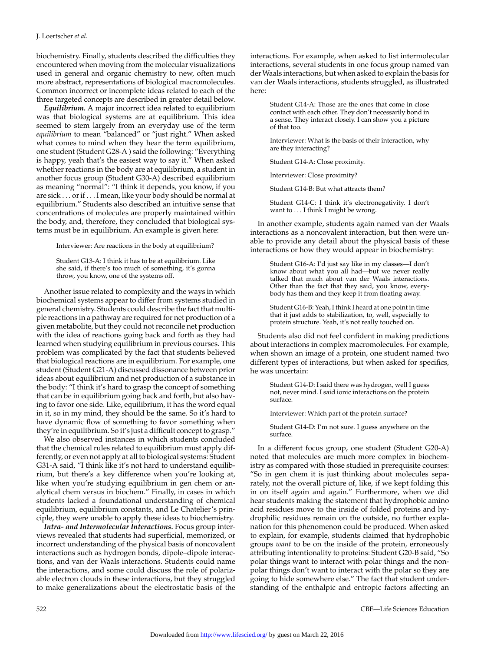biochemistry. Finally, students described the difficulties they encountered when moving from the molecular visualizations used in general and organic chemistry to new, often much more abstract, representations of biological macromolecules. Common incorrect or incomplete ideas related to each of the three targeted concepts are described in greater detail below.

*Equilibrium.* A major incorrect idea related to equilibrium was that biological systems are at equilibrium. This idea seemed to stem largely from an everyday use of the term *equilibrium* to mean "balanced" or "just right." When asked what comes to mind when they hear the term equilibrium, one student (Student G28-A ) said the following: "Everything is happy, yeah that's the easiest way to say it." When asked whether reactions in the body are at equilibrium, a student in another focus group (Student G30-A) described equilibrium as meaning "normal": "I think it depends, you know, if you are sick ... or if ... I mean, like your body should be normal at equilibrium." Students also described an intuitive sense that concentrations of molecules are properly maintained within the body, and, therefore, they concluded that biological systems must be in equilibrium. An example is given here:

Interviewer: Are reactions in the body at equilibrium?

Student G13-A: I think it has to be at equilibrium. Like she said, if there's too much of something, it's gonna throw, you know, one of the systems off.

Another issue related to complexity and the ways in which biochemical systems appear to differ from systems studied in general chemistry. Students could describe the fact that multiple reactions in a pathway are required for net production of a given metabolite, but they could not reconcile net production with the idea of reactions going back and forth as they had learned when studying equilibrium in previous courses. This problem was complicated by the fact that students believed that biological reactions are in equilibrium. For example, one student (Student G21-A) discussed dissonance between prior ideas about equilibrium and net production of a substance in the body: "I think it's hard to grasp the concept of something that can be in equilibrium going back and forth, but also having to favor one side. Like, equilibrium, it has the word equal in it, so in my mind, they should be the same. So it's hard to have dynamic flow of something to favor something when they're in equilibrium. So it's just a difficult concept to grasp."

We also observed instances in which students concluded that the chemical rules related to equilibrium must apply differently, or even not apply at all to biological systems: Student G31-A said, "I think like it's not hard to understand equilibrium, but there's a key difference when you're looking at, like when you're studying equilibrium in gen chem or analytical chem versus in biochem." Finally, in cases in which students lacked a foundational understanding of chemical equilibrium, equilibrium constants, and Le Chatelier's principle, they were unable to apply these ideas to biochemistry.

*Intra- and Intermolecular Interactions.* Focus group interviews revealed that students had superficial, memorized, or incorrect understanding of the physical basis of noncovalent interactions such as hydrogen bonds, dipole–dipole interactions, and van der Waals interactions. Students could name the interactions, and some could discuss the role of polarizable electron clouds in these interactions, but they struggled to make generalizations about the electrostatic basis of the

interactions. For example, when asked to list intermolecular interactions, several students in one focus group named van der Waals interactions, but when asked to explain the basis for van der Waals interactions, students struggled, as illustrated here:

Student G14-A: Those are the ones that come in close contact with each other. They don't necessarily bond in a sense. They interact closely. I can show you a picture of that too.

Interviewer: What is the basis of their interaction, why are they interacting?

Student G14-A: Close proximity.

Interviewer: Close proximity?

Student G14-B: But what attracts them?

Student G14-C: I think it's electronegativity. I don't want to ... I think I might be wrong.

In another example, students again named van der Waals interactions as a noncovalent interaction, but then were unable to provide any detail about the physical basis of these interactions or how they would appear in biochemistry:

Student G16-A: I'd just say like in my classes—I don't know about what you all had—but we never really talked that much about van der Waals interactions. Other than the fact that they said, you know, everybody has them and they keep it from floating away.

Student G16-B: Yeah, I think I heard at one point in time that it just adds to stabilization, to, well, especially to protein structure. Yeah, it's not really touched on.

Students also did not feel confident in making predictions about interactions in complex macromolecules. For example, when shown an image of a protein, one student named two different types of interactions, but when asked for specifics, he was uncertain:

> Student G14-D: I said there was hydrogen, well I guess not, never mind. I said ionic interactions on the protein surface.

Interviewer: Which part of the protein surface?

Student G14-D: I'm not sure. I guess anywhere on the surface.

In a different focus group, one student (Student G20-A) noted that molecules are much more complex in biochemistry as compared with those studied in prerequisite courses: "So in gen chem it is just thinking about molecules separately, not the overall picture of, like, if we kept folding this in on itself again and again." Furthermore, when we did hear students making the statement that hydrophobic amino acid residues move to the inside of folded proteins and hydrophilic residues remain on the outside, no further explanation for this phenomenon could be produced. When asked to explain, for example, students claimed that hydrophobic groups *want* to be on the inside of the protein, erroneously attributing intentionality to proteins: Student G20-B said, "So polar things want to interact with polar things and the nonpolar things don't want to interact with the polar so they are going to hide somewhere else." The fact that student understanding of the enthalpic and entropic factors affecting an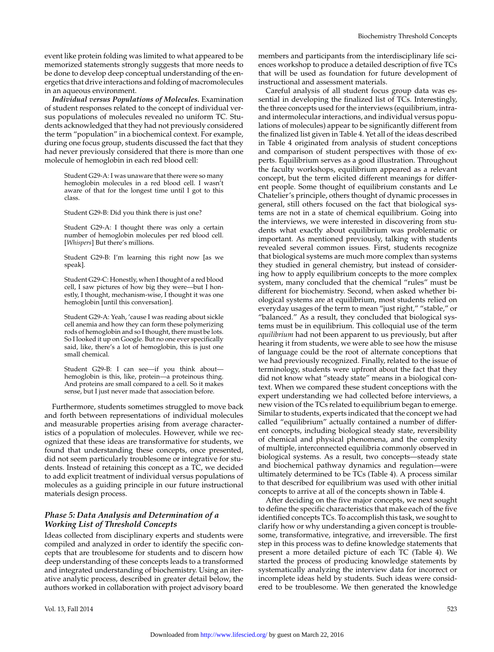event like protein folding was limited to what appeared to be memorized statements strongly suggests that more needs to be done to develop deep conceptual understanding of the energetics that drive interactions and folding of macromolecules in an aqueous environment.

*Individual versus Populations of Molecules.* Examination of student responses related to the concept of individual versus populations of molecules revealed no uniform TC. Students acknowledged that they had not previously considered the term "population" in a biochemical context. For example, during one focus group, students discussed the fact that they had never previously considered that there is more than one molecule of hemoglobin in each red blood cell:

Student G29-A: I was unaware that there were so many hemoglobin molecules in a red blood cell. I wasn't aware of that for the longest time until I got to this class.

Student G29-B: Did you think there is just one?

Student G29-A: I thought there was only a certain number of hemoglobin molecules per red blood cell. [*Whispers*] But there's millions.

Student G29-B: I'm learning this right now [as we speak].

Student G29-C: Honestly, when I thought of a red blood cell, I saw pictures of how big they were—but I honestly, I thought, mechanism-wise, I thought it was one hemoglobin [until this conversation].

Student G29-A: Yeah, 'cause I was reading about sickle cell anemia and how they can form these polymerizing rods of hemoglobin and so I thought, there must be lots. So I looked it up on Google. But no one ever specifically said, like, there's a lot of hemoglobin, this is just one small chemical.

Student G29-B: I can see—if you think about hemoglobin is this, like, protein—a proteinous thing. And proteins are small compared to a cell. So it makes sense, but I just never made that association before.

Furthermore, students sometimes struggled to move back and forth between representations of individual molecules and measurable properties arising from average characteristics of a population of molecules. However, while we recognized that these ideas are transformative for students, we found that understanding these concepts, once presented, did not seem particularly troublesome or integrative for students. Instead of retaining this concept as a TC, we decided to add explicit treatment of individual versus populations of molecules as a guiding principle in our future instructional materials design process.

#### *Phase 5: Data Analysis and Determination of a Working List of Threshold Concepts*

Ideas collected from disciplinary experts and students were compiled and analyzed in order to identify the specific concepts that are troublesome for students and to discern how deep understanding of these concepts leads to a transformed and integrated understanding of biochemistry. Using an iterative analytic process, described in greater detail below, the authors worked in collaboration with project advisory board members and participants from the interdisciplinary life sciences workshop to produce a detailed description of five TCs that will be used as foundation for future development of instructional and assessment materials.

Careful analysis of all student focus group data was essential in developing the finalized list of TCs. Interestingly, the three concepts used for the interviews (equilibrium, intraand intermolecular interactions, and individual versus populations of molecules) appear to be significantly different from the finalized list given in Table 4. Yet all of the ideas described in Table 4 originated from analysis of student conceptions and comparison of student perspectives with those of experts. Equilibrium serves as a good illustration. Throughout the faculty workshops, equilibrium appeared as a relevant concept, but the term elicited different meanings for different people. Some thought of equilibrium constants and Le Chatelier's principle, others thought of dynamic processes in general, still others focused on the fact that biological systems are not in a state of chemical equilibrium. Going into the interviews, we were interested in discovering from students what exactly about equilibrium was problematic or important. As mentioned previously, talking with students revealed several common issues. First, students recognize that biological systems are much more complex than systems they studied in general chemistry, but instead of considering how to apply equilibrium concepts to the more complex system, many concluded that the chemical "rules" must be different for biochemistry. Second, when asked whether biological systems are at equilibrium, most students relied on everyday usages of the term to mean "just right," "stable," or "balanced." As a result, they concluded that biological systems must be in equilibrium. This colloquial use of the term *equilibrium* had not been apparent to us previously, but after hearing it from students, we were able to see how the misuse of language could be the root of alternate conceptions that we had previously recognized. Finally, related to the issue of terminology, students were upfront about the fact that they did not know what "steady state" means in a biological context. When we compared these student conceptions with the expert understanding we had collected before interviews, a new vision of the TCs related to equilibrium began to emerge. Similar to students, experts indicated that the concept we had called "equilibrium" actually contained a number of different concepts, including biological steady state, reversibility of chemical and physical phenomena, and the complexity of multiple, interconnected equilibria commonly observed in biological systems. As a result, two concepts—steady state and biochemical pathway dynamics and regulation—were ultimately determined to be TCs (Table 4). A process similar to that described for equilibrium was used with other initial concepts to arrive at all of the concepts shown in Table 4.

After deciding on the five major concepts, we next sought to define the specific characteristics that make each of the five identified concepts TCs. To accomplish this task, we sought to clarify how or why understanding a given concept is troublesome, transformative, integrative, and irreversible. The first step in this process was to define knowledge statements that present a more detailed picture of each TC (Table 4). We started the process of producing knowledge statements by systematically analyzing the interview data for incorrect or incomplete ideas held by students. Such ideas were considered to be troublesome. We then generated the knowledge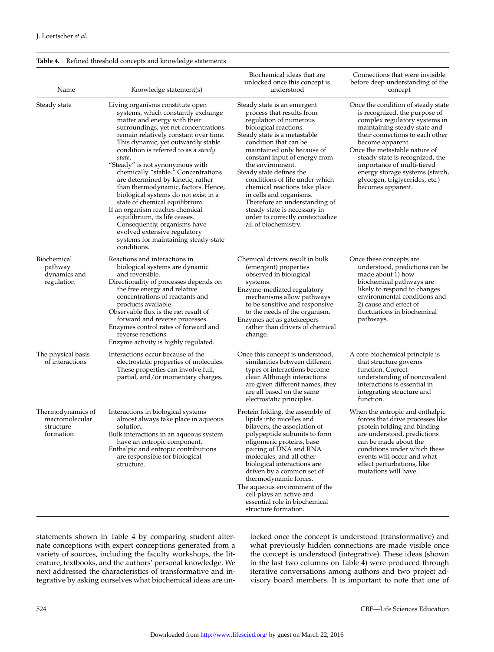#### **Table 4.** Refined threshold concepts and knowledge statements

| Name                                                          | Knowledge statement(s)                                                                                                                                                                                                                                                                                                                                                                                                                                                                                                                                                                                                                                                                                            | Biochemical ideas that are<br>unlocked once this concept is<br>understood                                                                                                                                                                                                                                                                                                                                                                                                                                      | Connections that were invisible<br>before deep understanding of the<br>concept                                                                                                                                                                                                                                                                                                          |
|---------------------------------------------------------------|-------------------------------------------------------------------------------------------------------------------------------------------------------------------------------------------------------------------------------------------------------------------------------------------------------------------------------------------------------------------------------------------------------------------------------------------------------------------------------------------------------------------------------------------------------------------------------------------------------------------------------------------------------------------------------------------------------------------|----------------------------------------------------------------------------------------------------------------------------------------------------------------------------------------------------------------------------------------------------------------------------------------------------------------------------------------------------------------------------------------------------------------------------------------------------------------------------------------------------------------|-----------------------------------------------------------------------------------------------------------------------------------------------------------------------------------------------------------------------------------------------------------------------------------------------------------------------------------------------------------------------------------------|
| Steady state                                                  | Living organisms constitute open<br>systems, which constantly exchange<br>matter and energy with their<br>surroundings, yet net concentrations<br>remain relatively constant over time.<br>This dynamic, yet outwardly stable<br>condition is referred to as a <i>steady</i><br>state.<br>"Steady" is not synonymous with<br>chemically "stable." Concentrations<br>are determined by kinetic, rather<br>than thermodynamic, factors. Hence,<br>biological systems do not exist in a<br>state of chemical equilibrium.<br>If an organism reaches chemical<br>equilibrium, its life ceases.<br>Consequently, organisms have<br>evolved extensive regulatory<br>systems for maintaining steady-state<br>conditions. | Steady state is an emergent<br>process that results from<br>regulation of numerous<br>biological reactions.<br>Steady state is a metastable<br>condition that can be<br>maintained only because of<br>constant input of energy from<br>the environment.<br>Steady state defines the<br>conditions of life under which<br>chemical reactions take place<br>in cells and organisms.<br>Therefore an understanding of<br>steady state is necessary in<br>order to correctly contextualize<br>all of biochemistry. | Once the condition of steady state<br>is recognized, the purpose of<br>complex regulatory systems in<br>maintaining steady state and<br>their connections to each other<br>become apparent.<br>Once the metastable nature of<br>steady state is recognized, the<br>importance of multi-tiered<br>energy storage systems (starch,<br>glycogen, triglycerides, etc.)<br>becomes apparent. |
| Biochemical<br>pathway<br>dynamics and<br>regulation          | Reactions and interactions in<br>biological systems are dynamic<br>and reversible.<br>Directionality of processes depends on<br>the free energy and relative<br>concentrations of reactants and<br>products available.<br>Observable flux is the net result of<br>forward and reverse processes.<br>Enzymes control rates of forward and<br>reverse reactions.<br>Enzyme activity is highly regulated.                                                                                                                                                                                                                                                                                                            | Chemical drivers result in bulk<br>(emergent) properties<br>observed in biological<br>systems.<br>Enzyme-mediated regulatory<br>mechanisms allow pathways<br>to be sensitive and responsive<br>to the needs of the organism.<br>Enzymes act as gatekeepers<br>rather than drivers of chemical<br>change.                                                                                                                                                                                                       | Once these concepts are<br>understood, predictions can be<br>made about 1) how<br>biochemical pathways are<br>likely to respond to changes<br>environmental conditions and<br>2) cause and effect of<br>fluctuations in biochemical<br>pathways.                                                                                                                                        |
| The physical basis<br>of interactions                         | Interactions occur because of the<br>electrostatic properties of molecules.<br>These properties can involve full,<br>partial, and/or momentary charges.                                                                                                                                                                                                                                                                                                                                                                                                                                                                                                                                                           | Once this concept is understood,<br>similarities between different<br>types of interactions become<br>clear. Although interactions<br>are given different names, they<br>are all based on the same<br>electrostatic principles.                                                                                                                                                                                                                                                                                | A core biochemical principle is<br>that structure governs<br>function. Correct<br>understanding of noncovalent<br>interactions is essential in<br>integrating structure and<br>function.                                                                                                                                                                                                |
| Thermodynamics of<br>macromolecular<br>structure<br>formation | Interactions in biological systems<br>almost always take place in aqueous<br>solution.<br>Bulk interactions in an aqueous system<br>have an entropic component.<br>Enthalpic and entropic contributions<br>are responsible for biological<br>structure.                                                                                                                                                                                                                                                                                                                                                                                                                                                           | Protein folding, the assembly of<br>lipids into micelles and<br>bilayers, the association of<br>polypeptide subunits to form<br>oligomeric proteins, base<br>pairing of DNA and RNA<br>molecules, and all other<br>biological interactions are<br>driven by a common set of<br>thermodynamic forces.<br>The aqueous environment of the<br>cell plays an active and<br>essential role in biochemical<br>structure formation.                                                                                    | When the entropic and enthalpic<br>forces that drive processes like<br>protein folding and binding<br>are understood, predictions<br>can be made about the<br>conditions under which these<br>events will occur and what<br>effect perturbations, like<br>mutations will have.                                                                                                          |

statements shown in Table 4 by comparing student alternate conceptions with expert conceptions generated from a variety of sources, including the faculty workshops, the literature, textbooks, and the authors' personal knowledge. We next addressed the characteristics of transformative and integrative by asking ourselves what biochemical ideas are unlocked once the concept is understood (transformative) and what previously hidden connections are made visible once the concept is understood (integrative). These ideas (shown in the last two columns on Table 4) were produced through iterative conversations among authors and two project advisory board members. It is important to note that one of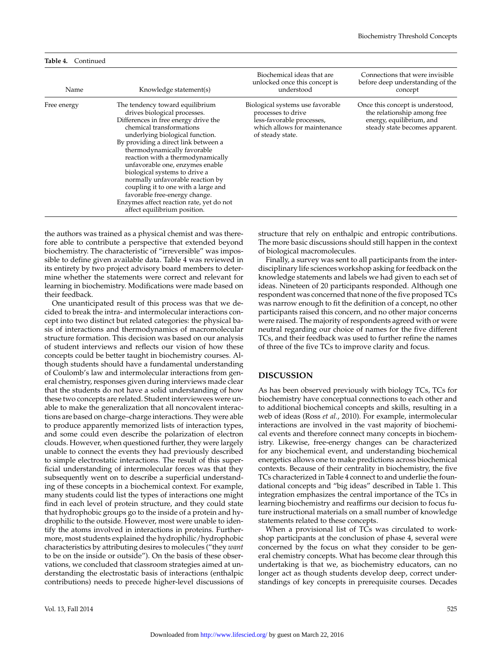| Name        | Knowledge statement(s)                                                                                                                                                                                                                                                                                                                                                                                                                                                                                                                         | Biochemical ideas that are<br>unlocked once this concept is<br>understood                                                               | Connections that were invisible<br>before deep understanding of the<br>concept                                                |
|-------------|------------------------------------------------------------------------------------------------------------------------------------------------------------------------------------------------------------------------------------------------------------------------------------------------------------------------------------------------------------------------------------------------------------------------------------------------------------------------------------------------------------------------------------------------|-----------------------------------------------------------------------------------------------------------------------------------------|-------------------------------------------------------------------------------------------------------------------------------|
| Free energy | The tendency toward equilibrium<br>drives biological processes.<br>Differences in free energy drive the<br>chemical transformations<br>underlying biological function.<br>By providing a direct link between a<br>thermodynamically favorable<br>reaction with a thermodynamically<br>unfavorable one, enzymes enable<br>biological systems to drive a<br>normally unfavorable reaction by<br>coupling it to one with a large and<br>favorable free-energy change.<br>Enzymes affect reaction rate, yet do not<br>affect equilibrium position. | Biological systems use favorable<br>processes to drive<br>less-favorable processes,<br>which allows for maintenance<br>of steady state. | Once this concept is understood,<br>the relationship among free<br>energy, equilibrium, and<br>steady state becomes apparent. |

#### **Table 4.** Continued

the authors was trained as a physical chemist and was therefore able to contribute a perspective that extended beyond biochemistry. The characteristic of "irreversible" was impossible to define given available data. Table 4 was reviewed in its entirety by two project advisory board members to determine whether the statements were correct and relevant for learning in biochemistry. Modifications were made based on their feedback.

One unanticipated result of this process was that we decided to break the intra- and intermolecular interactions concept into two distinct but related categories: the physical basis of interactions and thermodynamics of macromolecular structure formation. This decision was based on our analysis of student interviews and reflects our vision of how these concepts could be better taught in biochemistry courses. Although students should have a fundamental understanding of Coulomb's law and intermolecular interactions from general chemistry, responses given during interviews made clear that the students do not have a solid understanding of how these two concepts are related. Student interviewees were unable to make the generalization that all noncovalent interactions are based on charge–charge interactions. They were able to produce apparently memorized lists of interaction types, and some could even describe the polarization of electron clouds. However, when questioned further, they were largely unable to connect the events they had previously described to simple electrostatic interactions. The result of this superficial understanding of intermolecular forces was that they subsequently went on to describe a superficial understanding of these concepts in a biochemical context. For example, many students could list the types of interactions one might find in each level of protein structure, and they could state that hydrophobic groups go to the inside of a protein and hydrophilic to the outside. However, most were unable to identify the atoms involved in interactions in proteins. Furthermore, most students explained the hydrophilic/hydrophobic characteristics by attributing desires to molecules ("they *want* to be on the inside or outside"). On the basis of these observations, we concluded that classroom strategies aimed at understanding the electrostatic basis of interactions (enthalpic contributions) needs to precede higher-level discussions of

structure that rely on enthalpic and entropic contributions. The more basic discussions should still happen in the context of biological macromolecules.

Finally, a survey was sent to all participants from the interdisciplinary life sciences workshop asking for feedback on the knowledge statements and labels we had given to each set of ideas. Nineteen of 20 participants responded. Although one respondent was concerned that none of the five proposed TCs was narrow enough to fit the definition of a concept, no other participants raised this concern, and no other major concerns were raised. The majority of respondents agreed with or were neutral regarding our choice of names for the five different TCs, and their feedback was used to further refine the names of three of the five TCs to improve clarity and focus.

#### **DISCUSSION**

As has been observed previously with biology TCs, TCs for biochemistry have conceptual connections to each other and to additional biochemical concepts and skills, resulting in a web of ideas (Ross *et al.*, 2010). For example, intermolecular interactions are involved in the vast majority of biochemical events and therefore connect many concepts in biochemistry. Likewise, free-energy changes can be characterized for any biochemical event, and understanding biochemical energetics allows one to make predictions across biochemical contexts. Because of their centrality in biochemistry, the five TCs characterized in Table 4 connect to and underlie the foundational concepts and "big ideas" described in Table 1. This integration emphasizes the central importance of the TCs in learning biochemistry and reaffirms our decision to focus future instructional materials on a small number of knowledge statements related to these concepts.

When a provisional list of TCs was circulated to workshop participants at the conclusion of phase 4, several were concerned by the focus on what they consider to be general chemistry concepts. What has become clear through this undertaking is that we, as biochemistry educators, can no longer act as though students develop deep, correct understandings of key concepts in prerequisite courses. Decades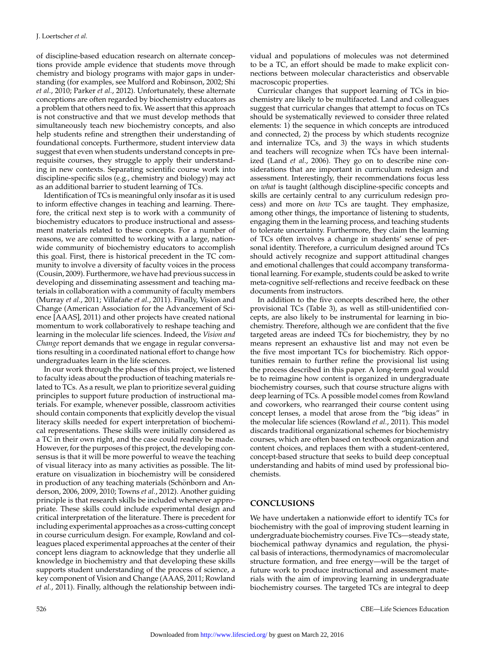of discipline-based education research on alternate conceptions provide ample evidence that students move through chemistry and biology programs with major gaps in understanding (for examples, see Mulford and Robinson, 2002; Shi *et al.*, 2010; Parker *et al.*, 2012). Unfortunately, these alternate conceptions are often regarded by biochemistry educators as a problem that others need to fix. We assert that this approach is not constructive and that we must develop methods that simultaneously teach new biochemistry concepts, and also help students refine and strengthen their understanding of foundational concepts. Furthermore, student interview data suggest that even when students understand concepts in prerequisite courses, they struggle to apply their understanding in new contexts. Separating scientific course work into discipline-specific silos (e.g., chemistry and biology) may act as an additional barrier to student learning of TCs.

Identification of TCs is meaningful only insofar as it is used to inform effective changes in teaching and learning. Therefore, the critical next step is to work with a community of biochemistry educators to produce instructional and assessment materials related to these concepts. For a number of reasons, we are committed to working with a large, nationwide community of biochemistry educators to accomplish this goal. First, there is historical precedent in the TC community to involve a diversity of faculty voices in the process (Cousin, 2009). Furthermore, we have had previous success in developing and disseminating assessment and teaching materials in collaboration with a community of faculty members (Murray et al., 2011; Villafañe et al., 2011). Finally, Vision and Change (American Association for the Advancement of Science [AAAS], 2011) and other projects have created national momentum to work collaboratively to reshape teaching and learning in the molecular life sciences. Indeed, the *Vision and Change* report demands that we engage in regular conversations resulting in a coordinated national effort to change how undergraduates learn in the life sciences.

In our work through the phases of this project, we listened to faculty ideas about the production of teaching materials related to TCs. As a result, we plan to prioritize several guiding principles to support future production of instructional materials. For example, whenever possible, classroom activities should contain components that explicitly develop the visual literacy skills needed for expert interpretation of biochemical representations. These skills were initially considered as a TC in their own right, and the case could readily be made. However, for the purposes of this project, the developing consensus is that it will be more powerful to weave the teaching of visual literacy into as many activities as possible. The literature on visualization in biochemistry will be considered in production of any teaching materials (Schönborn and Anderson, 2006, 2009, 2010; Towns *et al.*, 2012). Another guiding principle is that research skills be included whenever appropriate. These skills could include experimental design and critical interpretation of the literature. There is precedent for including experimental approaches as a cross-cutting concept in course curriculum design. For example, Rowland and colleagues placed experimental approaches at the center of their concept lens diagram to acknowledge that they underlie all knowledge in biochemistry and that developing these skills supports student understanding of the process of science, a key component of Vision and Change (AAAS, 2011; Rowland *et al.*, 2011). Finally, although the relationship between individual and populations of molecules was not determined to be a TC, an effort should be made to make explicit connections between molecular characteristics and observable macroscopic properties.

Curricular changes that support learning of TCs in biochemistry are likely to be multifaceted. Land and colleagues suggest that curricular changes that attempt to focus on TCs should be systematically reviewed to consider three related elements: 1) the sequence in which concepts are introduced and connected, 2) the process by which students recognize and internalize TCs, and 3) the ways in which students and teachers will recognize when TCs have been internalized (Land *et al*., 2006). They go on to describe nine considerations that are important in curriculum redesign and assessment. Interestingly, their recommendations focus less on *what* is taught (although discipline-specific concepts and skills are certainly central to any curriculum redesign process) and more on *how* TCs are taught. They emphasize, among other things, the importance of listening to students, engaging them in the learning process, and teaching students to tolerate uncertainty. Furthermore, they claim the learning of TCs often involves a change in students' sense of personal identity. Therefore, a curriculum designed around TCs should actively recognize and support attitudinal changes and emotional challenges that could accompany transformational learning. For example, students could be asked to write meta-cognitive self-reflections and receive feedback on these documents from instructors.

In addition to the five concepts described here, the other provisional TCs (Table 3), as well as still-unidentified concepts, are also likely to be instrumental for learning in biochemistry. Therefore, although we are confident that the five targeted areas are indeed TCs for biochemistry, they by no means represent an exhaustive list and may not even be the five most important TCs for biochemistry. Rich opportunities remain to further refine the provisional list using the process described in this paper. A long-term goal would be to reimagine how content is organized in undergraduate biochemistry courses, such that course structure aligns with deep learning of TCs. A possible model comes from Rowland and coworkers, who rearranged their course content using concept lenses, a model that arose from the "big ideas" in the molecular life sciences (Rowland *et al.*, 2011). This model discards traditional organizational schemes for biochemistry courses, which are often based on textbook organization and content choices, and replaces them with a student-centered, concept-based structure that seeks to build deep conceptual understanding and habits of mind used by professional biochemists.

#### **CONCLUSIONS**

We have undertaken a nationwide effort to identify TCs for biochemistry with the goal of improving student learning in undergraduate biochemistry courses. Five TCs—steady state, biochemical pathway dynamics and regulation, the physical basis of interactions, thermodynamics of macromolecular structure formation, and free energy—will be the target of future work to produce instructional and assessment materials with the aim of improving learning in undergraduate biochemistry courses. The targeted TCs are integral to deep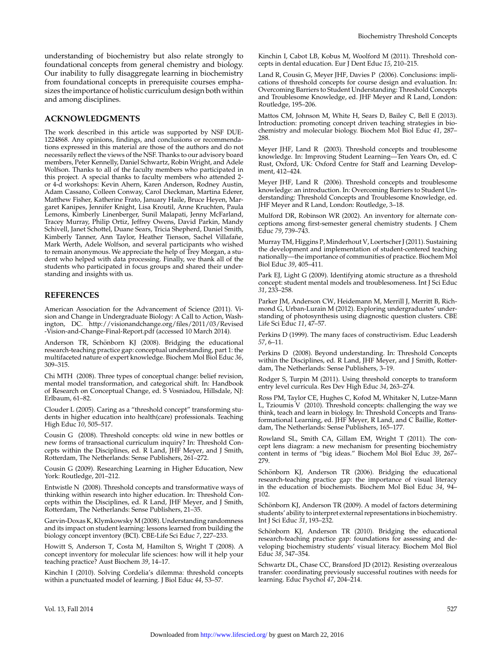understanding of biochemistry but also relate strongly to foundational concepts from general chemistry and biology. Our inability to fully disaggregate learning in biochemistry from foundational concepts in prerequisite courses emphasizes the importance of holistic curriculum design both within and among disciplines.

#### **ACKNOWLEDGMENTS**

The work described in this article was supported by NSF DUE-1224868. Any opinions, findings, and conclusions or recommendations expressed in this material are those of the authors and do not necessarily reflect the views of the NSF. Thanks to our advisory board members, Peter Kennelly, Daniel Schwartz, Robin Wright, and Adele Wolfson. Thanks to all of the faculty members who participated in this project. A special thanks to faculty members who attended 2 or 4-d workshops: Kevin Ahern, Karen Anderson, Rodney Austin, Adam Cassano, Colleen Conway, Carol Dieckman, Martina Ederer, Matthew Fisher, Katherine Frato, January Haile, Bruce Heyen, Margaret Kanipes, Jennifer Knight, Lisa Kroutil, Anne Kruchten, Paula Lemons, Kimberly Linenberger, Sunil Malapati, Jenny McFarland, Tracey Murray, Philip Ortiz, Jeffrey Owens, David Parkin, Mandy Schivell, Janet Schottel, Duane Sears, Tricia Shepherd, Daniel Smith, Kimberly Tanner, Ann Taylor, Heather Tienson, Sachel Villafañe, Mark Werth, Adele Wolfson, and several participants who wished to remain anonymous. We appreciate the help of Trey Morgan, a student who helped with data processing. Finally, we thank all of the students who participated in focus groups and shared their understanding and insights with us.

#### **REFERENCES**

American Association for the Advancement of Science (2011). Vision and Change in Undergraduate Biology: A Call to Action, Washington, DC. [http://visionandchange.org/files/2011/03/Revised](http://visionandchange.org/files/2011/03/Revised-Vision-and-Change-Final-Report.pdf) [-Vision-and-Change-Final-Report.pdf](http://visionandchange.org/files/2011/03/Revised-Vision-and-Change-Final-Report.pdf) (accessed 10 March 2014).

Anderson TR, Schönborn KJ (2008). Bridging the educational research-teaching practice gap: conceptual understanding, part 1: the multifaceted nature of expert knowledge. Biochem Mol Biol Educ *36*, 309–315.

Chi MTH (2008). Three types of conceptual change: belief revision, mental model transformation, and categorical shift. In: Handbook of Research on Conceptual Change, ed. S Vosniadou, Hillsdale, NJ: Erlbaum, 61–82.

Clouder L (2005). Caring as a "threshold concept" transforming students in higher education into health(care) professionals. Teaching High Educ *10*, 505–517.

Cousin G (2008). Threshold concepts: old wine in new bottles or new forms of transactional curriculum inquiry? In: Threshold Concepts within the Disciplines, ed. R Land, JHF Meyer, and J Smith, Rotterdam, The Netherlands: Sense Publishers, 261–272.

Cousin G (2009). Researching Learning in Higher Education, New York: Routledge, 201–212.

Entwistle N (2008). Threshold concepts and transformative ways of thinking within research into higher education. In: Threshold Concepts within the Disciplines, ed. R Land, JHF Meyer, and J Smith, Rotterdam, The Netherlands: Sense Publishers, 21–35.

Garvin-Doxas K, Klymkowsky M (2008). Understanding randomness and its impact on student learning: lessons learned from building the biology concept inventory (BCI). CBE-Life Sci Educ *7*, 227–233.

Howitt S, Anderson T, Costa M, Hamilton S, Wright T (2008). A concept inventory for molecular life sciences: how will it help your teaching practice? Aust Biochem *39*, 14–17.

Kinchin I (2010). Solving Cordelia's dilemma: threshold concepts within a punctuated model of learning. J Biol Educ *44*, 53–57.

Kinchin I, Cabot LB, Kobus M, Woolford M (2011). Threshold concepts in dental education. Eur J Dent Educ *15*, 210–215.

Land R, Cousin G, Meyer JHF, Davies P (2006). Conclusions: implications of threshold concepts for course design and evaluation. In: Overcoming Barriers to Student Understanding: Threshold Concepts and Troublesome Knowledge, ed. JHF Meyer and R Land, London: Routledge, 195–206.

Mattos CM, Johnson M, White H, Sears D, Bailey C, Bell E (2013). Introduction: promoting concept driven teaching strategies in biochemistry and molecular biology. Biochem Mol Biol Educ *41*, 287– 288.

Meyer JHF, Land R (2003). Threshold concepts and troublesome knowledge. In: Improving Student Learning—Ten Years On, ed. C Rust, Oxford, UK: Oxford Centre for Staff and Learning Development, 412–424.

Meyer JHF, Land R (2006). Threshold concepts and troublesome knowledge: an introduction. In: Overcoming Barriers to Student Understanding: Threshold Concepts and Troublesome Knowledge, ed. JHF Meyer and R Land, London: Routledge, 3–18.

Mulford DR, Robinson WR (2002). An inventory for alternate conceptions among first-semester general chemistry students. J Chem Educ *79*, 739–743.

Murray TM, Higgins P, Minderhout V, Loertscher J (2011). Sustaining the development and implementation of student-centered teaching nationally—the importance of communities of practice. Biochem Mol Biol Educ *39*, 405–411.

Park EJ, Light G (2009). Identifying atomic structure as a threshold concept: student mental models and troublesomeness. Int J Sci Educ *31*, 233–258.

Parker JM, Anderson CW, Heidemann M, Merrill J, Merritt B, Richmond G, Urban-Lurain M (2012). Exploring undergraduates' understanding of photosynthesis using diagnostic question clusters. CBE Life Sci Educ *11*, 47–57.

Perkins D (1999). The many faces of constructivism. Educ Leadersh *57*, 6–11.

Perkins D (2008). Beyond understanding. In: Threshold Concepts within the Disciplines, ed. R Land, JHF Meyer, and J Smith, Rotterdam, The Netherlands: Sense Publishers, 3–19.

Rodger S, Turpin M (2011). Using threshold concepts to transform entry level curricula. Res Dev High Educ *34*, 263–274.

Ross PM, Taylor CE, Hughes C, Kofod M, Whitaker N, Lutze-Mann L, Tzioumis V (2010). Threshold concepts: challenging the way we think, teach and learn in biology. In: Threshold Concepts and Transformational Learning, ed. JHF Meyer, R Land, and C Baillie, Rotterdam, The Netherlands: Sense Publishers, 165–177.

Rowland SL, Smith CA, Gillam EM, Wright T (2011). The concept lens diagram: a new mechanism for presenting biochemistry content in terms of "big ideas." Biochem Mol Biol Educ *39*, 267– 279.

Schönborn KJ, Anderson TR (2006). Bridging the educational research-teaching practice gap: the importance of visual literacy in the education of biochemists. Biochem Mol Biol Educ *34*, 94– 102.

Schönborn KJ, Anderson TR (2009). A model of factors determining students' ability to interpret external representations in biochemistry. Int J Sci Educ *31*, 193–232.

Schönborn KJ, Anderson TR (2010). Bridging the educational research-teaching practice gap: foundations for assessing and developing biochemistry students' visual literacy. Biochem Mol Biol Educ *38*, 347–354.

Schwartz DL, Chase CC, Bransford JD (2012). Resisting overzealous transfer: coordinating previously successful routines with needs for learning. Educ Psychol *47*, 204–214.